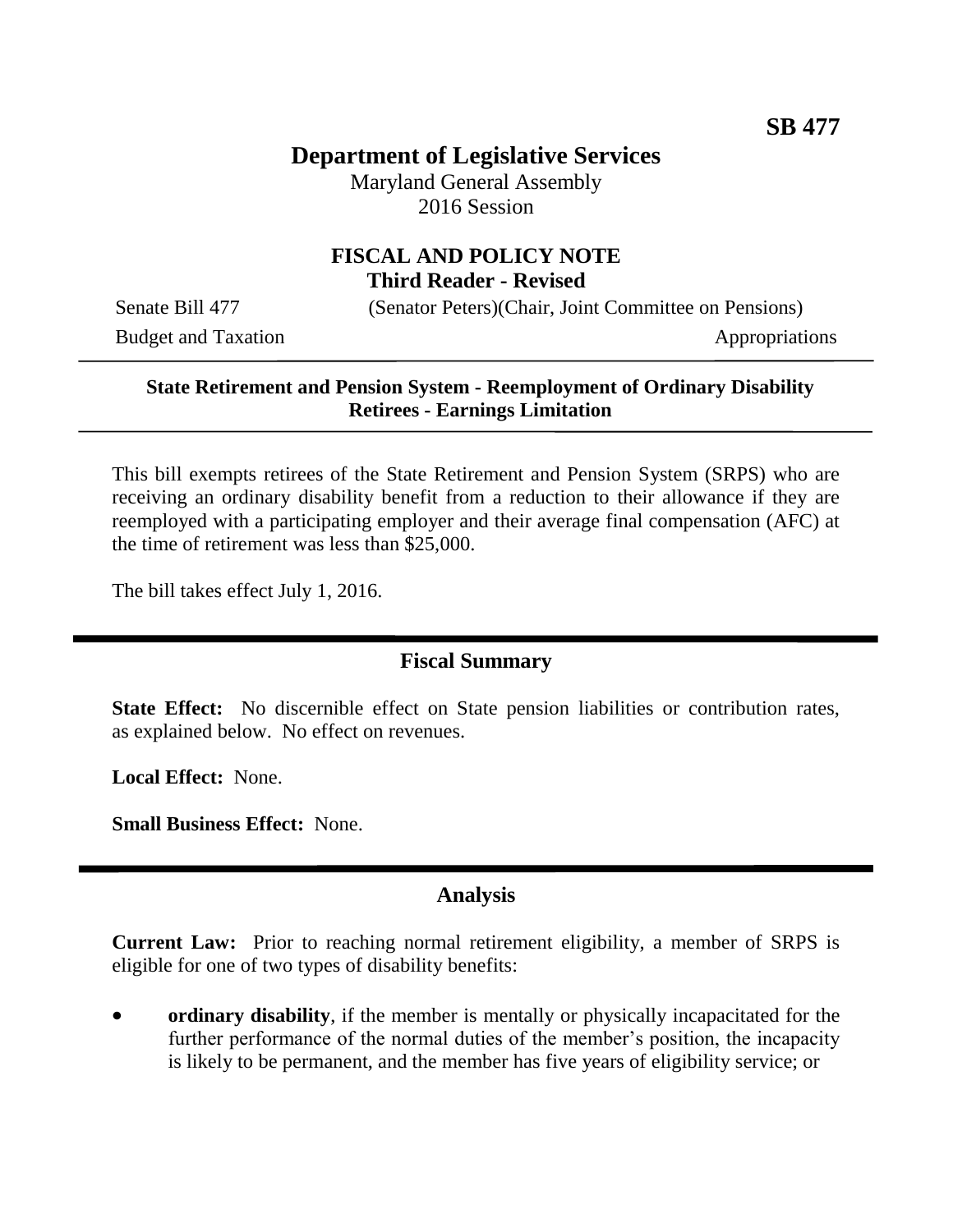# **Department of Legislative Services**

Maryland General Assembly 2016 Session

#### **FISCAL AND POLICY NOTE Third Reader - Revised**

Budget and Taxation Appropriations

Senate Bill 477 (Senator Peters)(Chair, Joint Committee on Pensions)

#### **State Retirement and Pension System - Reemployment of Ordinary Disability Retirees - Earnings Limitation**

This bill exempts retirees of the State Retirement and Pension System (SRPS) who are receiving an ordinary disability benefit from a reduction to their allowance if they are reemployed with a participating employer and their average final compensation (AFC) at the time of retirement was less than \$25,000.

The bill takes effect July 1, 2016.

## **Fiscal Summary**

**State Effect:** No discernible effect on State pension liabilities or contribution rates, as explained below. No effect on revenues.

**Local Effect:** None.

**Small Business Effect:** None.

## **Analysis**

**Current Law:** Prior to reaching normal retirement eligibility, a member of SRPS is eligible for one of two types of disability benefits:

 **ordinary disability**, if the member is mentally or physically incapacitated for the further performance of the normal duties of the member's position, the incapacity is likely to be permanent, and the member has five years of eligibility service; or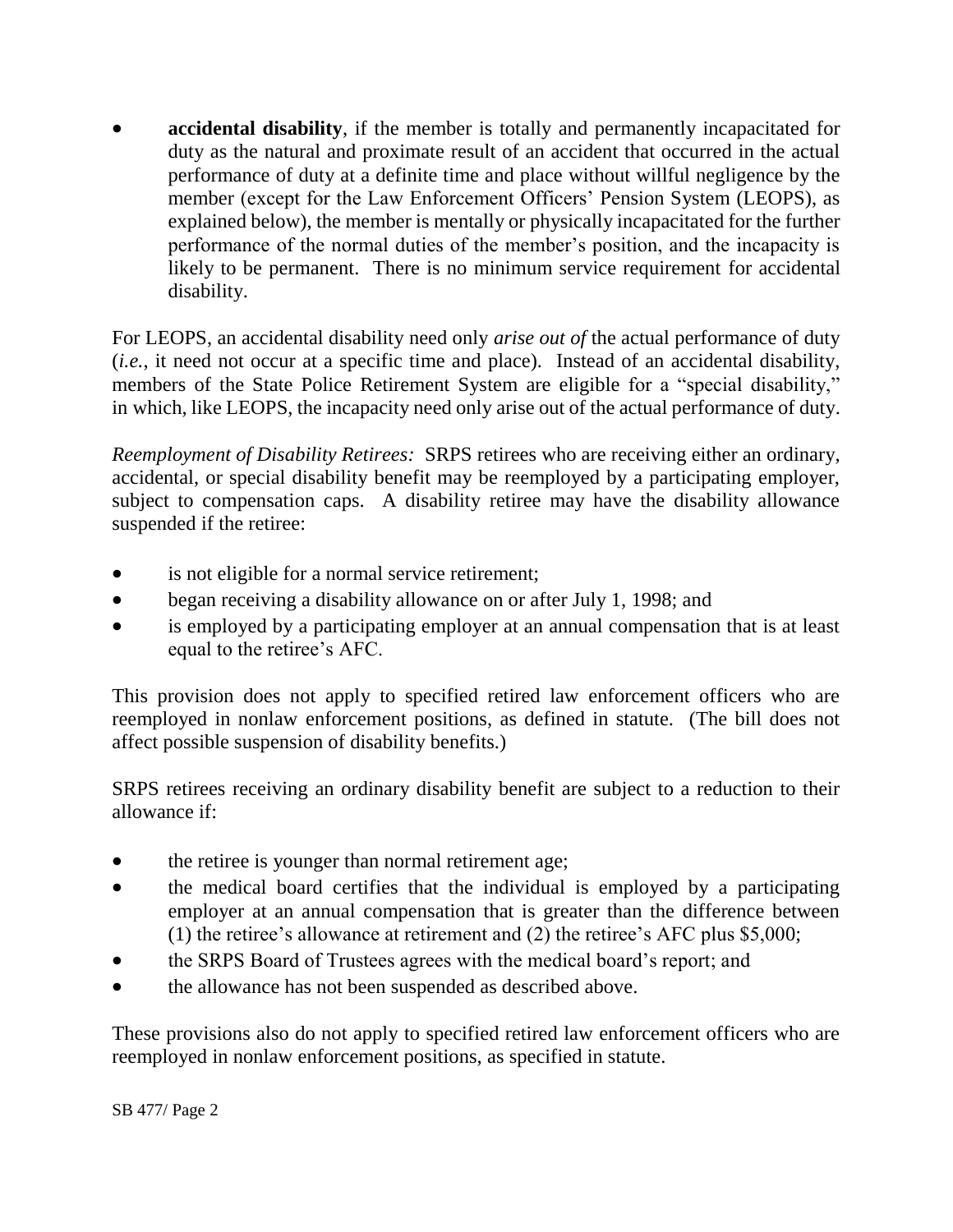**accidental disability**, if the member is totally and permanently incapacitated for duty as the natural and proximate result of an accident that occurred in the actual performance of duty at a definite time and place without willful negligence by the member (except for the Law Enforcement Officers' Pension System (LEOPS), as explained below), the member is mentally or physically incapacitated for the further performance of the normal duties of the member's position, and the incapacity is likely to be permanent. There is no minimum service requirement for accidental disability.

For LEOPS, an accidental disability need only *arise out of* the actual performance of duty (*i.e.*, it need not occur at a specific time and place). Instead of an accidental disability, members of the State Police Retirement System are eligible for a "special disability," in which, like LEOPS, the incapacity need only arise out of the actual performance of duty.

*Reemployment of Disability Retirees:* SRPS retirees who are receiving either an ordinary, accidental, or special disability benefit may be reemployed by a participating employer, subject to compensation caps. A disability retiree may have the disability allowance suspended if the retiree:

- is not eligible for a normal service retirement;
- began receiving a disability allowance on or after July 1, 1998; and
- is employed by a participating employer at an annual compensation that is at least equal to the retiree's AFC.

This provision does not apply to specified retired law enforcement officers who are reemployed in nonlaw enforcement positions, as defined in statute. (The bill does not affect possible suspension of disability benefits.)

SRPS retirees receiving an ordinary disability benefit are subject to a reduction to their allowance if:

- the retiree is younger than normal retirement age;
- the medical board certifies that the individual is employed by a participating employer at an annual compensation that is greater than the difference between (1) the retiree's allowance at retirement and (2) the retiree's AFC plus \$5,000;
- the SRPS Board of Trustees agrees with the medical board's report; and
- the allowance has not been suspended as described above.

These provisions also do not apply to specified retired law enforcement officers who are reemployed in nonlaw enforcement positions, as specified in statute.